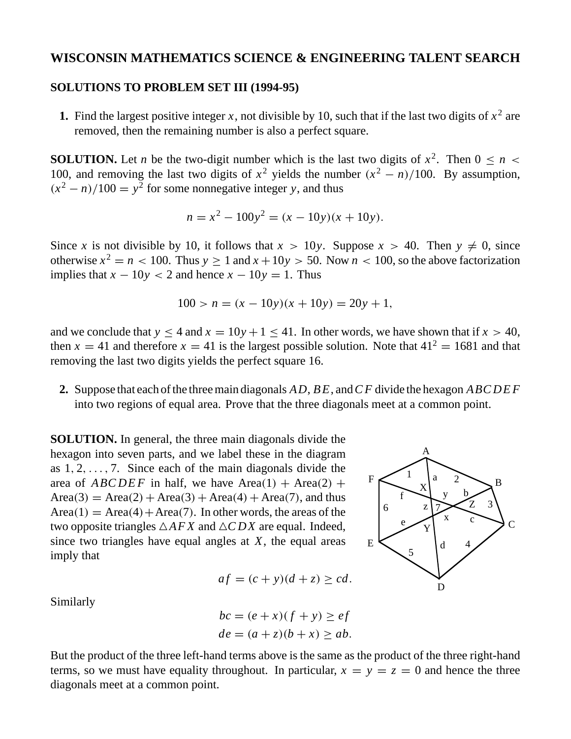## **WISCONSIN MATHEMATICS SCIENCE & ENGINEERING TALENT SEARCH**

## **SOLUTIONS TO PROBLEM SET III (1994-95)**

**1.** Find the largest positive integer *x*, not divisible by 10, such that if the last two digits of  $x^2$  are removed, then the remaining number is also a perfect square.

**SOLUTION.** Let *n* be the two-digit number which is the last two digits of  $x^2$ . Then  $0 \le n \le$ 100, and removing the last two digits of  $x^2$  yields the number  $(x^2 - n)/100$ . By assumption,  $(x^2 - n)/100 = y^2$  for some nonnegative integer *y*, and thus

$$
n = x^2 - 100y^2 = (x - 10y)(x + 10y).
$$

Since *x* is not divisible by 10, it follows that  $x > 10y$ . Suppose  $x > 40$ . Then  $y \neq 0$ , since otherwise  $x^2 = n < 100$ . Thus  $y \ge 1$  and  $x + 10y > 50$ . Now  $n < 100$ , so the above factorization implies that  $x - 10y < 2$  and hence  $x - 10y = 1$ . Thus

$$
100 > n = (x - 10y)(x + 10y) = 20y + 1,
$$

and we conclude that  $y < 4$  and  $x = 10y + 1 < 41$ . In other words, we have shown that if  $x > 40$ , then  $x = 41$  and therefore  $x = 41$  is the largest possible solution. Note that  $41^2 = 1681$  and that removing the last two digits yields the perfect square 16.

**2.** Suppose that each of the three main diagonals *AD*, *B E*, and*C F* divide the hexagon *ABCDEF* into two regions of equal area. Prove that the three diagonals meet at a common point.

**SOLUTION.** In general, the three main diagonals divide the hexagon into seven parts, and we label these in the diagram as 1*,* 2*,...,* 7. Since each of the main diagonals divide the area of  $ABCDEF$  in half, we have  $Area(1) + Area(2) +$  $Area(3) = Area(2) + Area(3) + Area(4) + Area(7)$ , and thus  $Area(1) = Area(4) + Area(7)$ . In other words, the areas of the two opposite triangles  $\triangle AFX$  and  $\triangle CDX$  are equal. Indeed, since two triangles have equal angles at *X*, the equal areas imply that

$$
af = (c + y)(d + z) \geq cd.
$$

Similarly

$$
bc = (e+x)(f + y) \ge ef
$$
  

$$
de = (a + z)(b + x) \ge ab.
$$

But the product of the three left-hand terms above is the same as the product of the three right-hand terms, so we must have equality throughout. In particular,  $x = y = z = 0$  and hence the three diagonals meet at a common point.